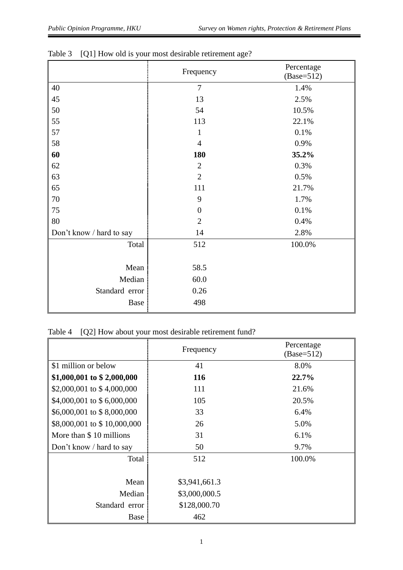|                          | Frequency        | Percentage<br>$(Base=512)$ |
|--------------------------|------------------|----------------------------|
| 40                       | $\overline{7}$   | 1.4%                       |
| 45                       | 13               | 2.5%                       |
| 50                       | 54               | 10.5%                      |
| 55                       | 113              | 22.1%                      |
| 57                       | 1                | 0.1%                       |
| 58                       | $\overline{4}$   | 0.9%                       |
| 60                       | 180              | 35.2%                      |
| 62                       | $\overline{2}$   | 0.3%                       |
| 63                       | $\overline{2}$   | 0.5%                       |
| 65                       | 111              | 21.7%                      |
| $70\,$                   | 9                | 1.7%                       |
| 75                       | $\boldsymbol{0}$ | 0.1%                       |
| 80                       | $\overline{2}$   | 0.4%                       |
| Don't know / hard to say | 14               | 2.8%                       |
| Total                    | 512              | 100.0%                     |
|                          |                  |                            |
| Mean                     | 58.5             |                            |
| Median                   | 60.0             |                            |
| Standard error           | 0.26             |                            |
| Base                     | 498              |                            |

|  |  |  | Table 3 [Q1] How old is your most desirable retirement age? |  |
|--|--|--|-------------------------------------------------------------|--|
|--|--|--|-------------------------------------------------------------|--|

## Table 4 [Q2] How about your most desirable retirement fund?

|                             | Frequency     | Percentage<br>$(Base=512)$ |
|-----------------------------|---------------|----------------------------|
| \$1 million or below        | 41            | 8.0%                       |
| \$1,000,001 to \$2,000,000  | 116           | 22.7%                      |
| \$2,000,001 to \$4,000,000  | 111           | 21.6%                      |
| \$4,000,001 to \$6,000,000  | 105           | 20.5%                      |
| \$6,000,001 to \$8,000,000  | 33            | 6.4%                       |
| \$8,000,001 to \$10,000,000 | 26            | 5.0%                       |
| More than \$10 millions     | 31            | 6.1%                       |
| Don't know / hard to say    | 50            | 9.7%                       |
| Total                       | 512           | 100.0%                     |
|                             |               |                            |
| Mean                        | \$3,941,661.3 |                            |
| Median                      | \$3,000,000.5 |                            |
| Standard error              | \$128,000.70  |                            |
| Base                        | 462           |                            |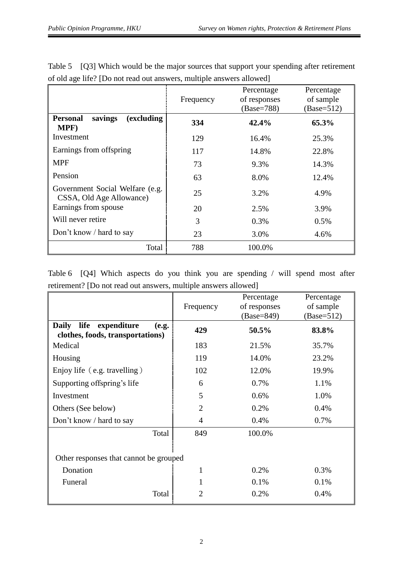|                                                             | Frequency | Percentage<br>of responses<br>(Base=788) | Percentage<br>of sample<br>$(Base=512)$ |
|-------------------------------------------------------------|-----------|------------------------------------------|-----------------------------------------|
| (excluding<br><b>Personal</b><br>savings<br>MPF)            | 334       | 42.4%                                    | 65.3%                                   |
| Investment                                                  | 129       | 16.4%                                    | 25.3%                                   |
| Earnings from offspring                                     | 117       | 14.8%                                    | 22.8%                                   |
| <b>MPF</b>                                                  | 73        | 9.3%                                     | 14.3%                                   |
| Pension                                                     | 63        | 8.0%                                     | 12.4%                                   |
| Government Social Welfare (e.g.<br>CSSA, Old Age Allowance) | 25        | 3.2%                                     | 4.9%                                    |
| Earnings from spouse                                        | 20        | 2.5%                                     | 3.9%                                    |
| Will never retire                                           | 3         | $0.3\%$                                  | 0.5%                                    |
| Don't know / hard to say                                    | 23        | 3.0%                                     | 4.6%                                    |
| Total                                                       | 788       | 100.0%                                   |                                         |

Table 5 [Q3] Which would be the major sources that support your spending after retirement of old age life? [Do not read out answers, multiple answers allowed]

Table 6 [Q4] Which aspects do you think you are spending / will spend most after retirement? [Do not read out answers, multiple answers allowed]

|                                                                                  |                | Percentage   | Percentage   |
|----------------------------------------------------------------------------------|----------------|--------------|--------------|
|                                                                                  | Frequency      | of responses | of sample    |
|                                                                                  |                | $(Base=849)$ | $(Base=512)$ |
| <b>Daily</b><br>life<br>expenditure<br>(e.g.<br>clothes, foods, transportations) | 429            | 50.5%        | 83.8%        |
| Medical                                                                          | 183            | 21.5%        | 35.7%        |
| Housing                                                                          | 119            | 14.0%        | 23.2%        |
| Enjoy life (e.g. travelling)                                                     | 102            | 12.0%        | 19.9%        |
| Supporting offspring's life                                                      | 6              | 0.7%         | 1.1%         |
| Investment                                                                       | 5              | 0.6%         | 1.0%         |
| Others (See below)                                                               | $\overline{2}$ | 0.2%         | 0.4%         |
| Don't know / hard to say                                                         | $\overline{4}$ | 0.4%         | 0.7%         |
| Total                                                                            | 849            | 100.0%       |              |
| Other responses that cannot be grouped                                           |                |              |              |
| Donation                                                                         | 1              | 0.2%         | 0.3%         |
| Funeral                                                                          |                | 0.1%         | $0.1\%$      |
| Total                                                                            | 2              | 0.2%         | 0.4%         |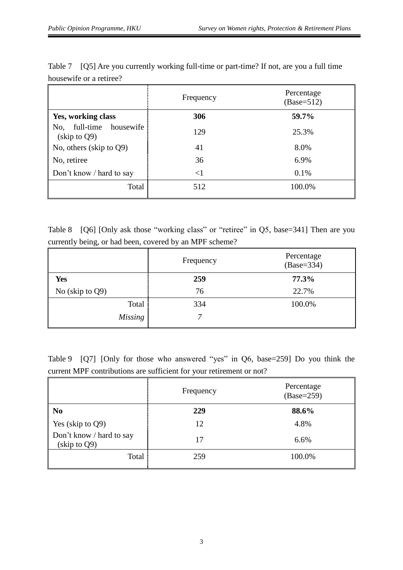|                                                                             | Frequency | Percentage<br>$(Base=512)$ |
|-----------------------------------------------------------------------------|-----------|----------------------------|
| Yes, working class                                                          | 306       | 59.7%                      |
| full-time housewife<br>No,<br>$\frac{\text{skip}}{\text{to}} \text{to } Q9$ | 129       | 25.3%                      |
| No, others (skip to Q9)                                                     | 41        | 8.0%                       |
| No, retiree                                                                 | 36        | 6.9%                       |
| Don't know / hard to say                                                    | $<$ 1     | 0.1%                       |
| Total                                                                       | 512       | 100.0%                     |

Table 7 [Q5] Are you currently working full-time or part-time? If not, are you a full time housewife or a retiree?

Table 8 [Q6] [Only ask those "working class" or "retiree" in Q5, base=341] Then are you currently being, or had been, covered by an MPF scheme?

|                    | Frequency | Percentage<br>$(Base=334)$ |
|--------------------|-----------|----------------------------|
| Yes                | 259       | 77.3%                      |
| No (skip to $Q9$ ) | 76        | 22.7%                      |
| Total              | 334       | 100.0%                     |
| <b>Missing</b>     |           |                            |

Table 9 [Q7] [Only for those who answered "yes" in Q6, base=259] Do you think the current MPF contributions are sufficient for your retirement or not?

|                                          | Frequency | Percentage<br>$(Base=259)$ |
|------------------------------------------|-----------|----------------------------|
| N <sub>0</sub>                           | 229       | 88.6%                      |
| Yes (skip to Q9)                         | 12        | 4.8%                       |
| Don't know / hard to say<br>(skip to Q9) | 17        | 6.6%                       |
| Total                                    | 259       | 100.0%                     |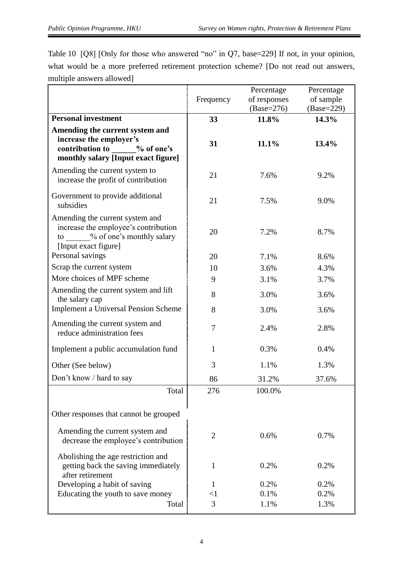| Table 10 [Q8] [Only for those who answered "no" in Q7, base=229] If not, in your opinion, |
|-------------------------------------------------------------------------------------------|
| what would be a more preferred retirement protection scheme? [Do not read out answers,    |
| multiple answers allowed]                                                                 |

|                                                                                                                                    |                | Percentage            | Percentage            |
|------------------------------------------------------------------------------------------------------------------------------------|----------------|-----------------------|-----------------------|
|                                                                                                                                    | Frequency      | of responses          | of sample             |
| <b>Personal investment</b>                                                                                                         | 33             | $(Base=276)$<br>11.8% | $(Base=229)$<br>14.3% |
|                                                                                                                                    |                |                       |                       |
| Amending the current system and<br>increase the employer's                                                                         |                |                       |                       |
| contribution to<br>% of one's                                                                                                      | 31             | 11.1%                 | 13.4%                 |
| monthly salary [Input exact figure]                                                                                                |                |                       |                       |
| Amending the current system to<br>increase the profit of contribution                                                              | 21             | 7.6%                  | 9.2%                  |
| Government to provide additional<br>subsidies                                                                                      | 21             | 7.5%                  | 9.0%                  |
| Amending the current system and<br>increase the employee's contribution<br>% of one's monthly salary<br>to<br>[Input exact figure] | 20             | 7.2%                  | 8.7%                  |
| Personal savings                                                                                                                   | 20             | 7.1%                  | 8.6%                  |
| Scrap the current system                                                                                                           | 10             | 3.6%                  | 4.3%                  |
| More choices of MPF scheme                                                                                                         | 9              | 3.1%                  | 3.7%                  |
| Amending the current system and lift<br>the salary cap                                                                             | 8              | 3.0%                  | 3.6%                  |
| <b>Implement a Universal Pension Scheme</b>                                                                                        | 8              | 3.0%                  | 3.6%                  |
| Amending the current system and<br>reduce administration fees                                                                      | $\overline{7}$ | 2.4%                  | 2.8%                  |
| Implement a public accumulation fund                                                                                               | 1              | 0.3%                  | 0.4%                  |
| Other (See below)                                                                                                                  | 3              | 1.1%                  | 1.3%                  |
| Don't know / hard to say                                                                                                           | 86             | 31.2%                 | 37.6%                 |
| Total                                                                                                                              | 276            | 100.0%                |                       |
| Other responses that cannot be grouped                                                                                             |                |                       |                       |
| Amending the current system and<br>decrease the employee's contribution                                                            | $\overline{2}$ | 0.6%                  | 0.7%                  |
| Abolishing the age restriction and<br>getting back the saving immediately<br>after retirement                                      | 1              | 0.2%                  | 0.2%                  |
| Developing a habit of saving                                                                                                       | 1              | 0.2%                  | 0.2%                  |
| Educating the youth to save money                                                                                                  | $<$ 1          | 0.1%                  | 0.2%                  |
| Total                                                                                                                              | 3              | 1.1%                  | 1.3%                  |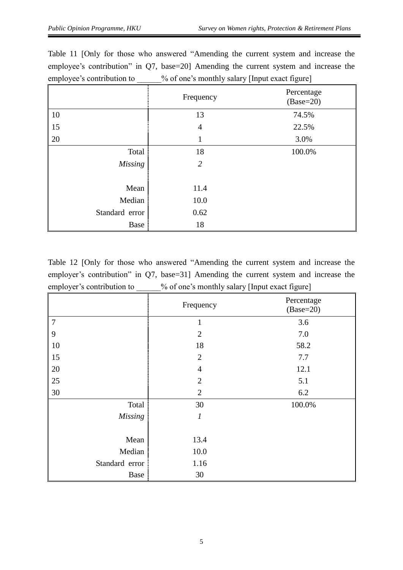|                | Frequency      | Percentage<br>$(Base=20)$ |
|----------------|----------------|---------------------------|
| 10             | 13             | 74.5%                     |
| 15             | 4              | 22.5%                     |
| 20             |                | 3.0%                      |
| Total          | 18             | 100.0%                    |
| <b>Missing</b> | $\overline{2}$ |                           |
|                |                |                           |
| Mean           | 11.4           |                           |
| Median         | 10.0           |                           |
| Standard error | 0.62           |                           |
| Base           | 18             |                           |

Table 11 [Only for those who answered "Amending the current system and increase the employee's contribution" in Q7, base=20] Amending the current system and increase the employee's contribution to  $\%$  of one's monthly salary [Input exact figure]

Table 12 [Only for those who answered "Amending the current system and increase the employer's contribution" in Q7, base=31] Amending the current system and increase the employer's contribution to \_\_\_\_\_% of one's monthly salary [Input exact figure]

|                | Frequency        | Percentage<br>$(Base=20)$ |
|----------------|------------------|---------------------------|
| $\overline{7}$ | $\mathbf{1}$     | 3.6                       |
| 9              | $\overline{2}$   | 7.0                       |
| 10             | 18               | 58.2                      |
| 15             | $\overline{2}$   | 7.7                       |
| 20             | $\overline{4}$   | 12.1                      |
| 25             | $\overline{2}$   | 5.1                       |
| 30             | $\overline{2}$   | 6.2                       |
| Total          | 30               | 100.0%                    |
| <b>Missing</b> | $\boldsymbol{l}$ |                           |
|                |                  |                           |
| Mean           | 13.4             |                           |
| Median         | 10.0             |                           |
| Standard error | 1.16             |                           |
| Base           | 30               |                           |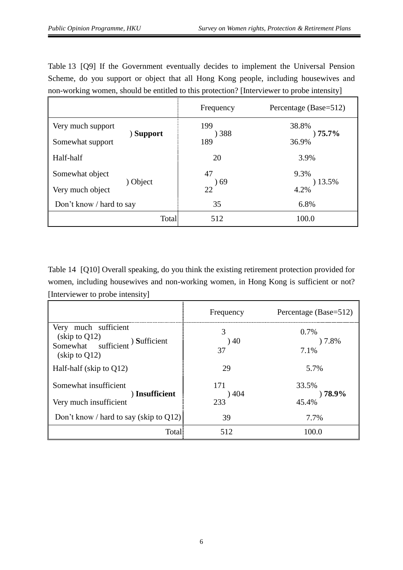Table 13 [Q9] If the Government eventually decides to implement the Universal Pension Scheme, do you support or object that all Hong Kong people, including housewives and non-working women, should be entitled to this protection? [Interviewer to probe intensity]

|                               | Frequency  | Percentage (Base=512) |
|-------------------------------|------------|-----------------------|
| Very much support<br>(Support | 199<br>388 | 38.8%<br>$75.7\%$     |
| Somewhat support              | 189        | 36.9%                 |
| Half-half                     | 20         | 3.9%                  |
| Somewhat object               | 47         | 9.3%                  |
| ) Object<br>Very much object  | 69 (<br>22 | 13.5%<br>4.2%         |
| Don't know / hard to say      | 35         | 6.8%                  |
| Total                         | 512        | 100.0                 |

Table 14 [Q10] Overall speaking, do you think the existing retirement protection provided for women, including housewives and non-working women, in Hong Kong is sufficient or not? [Interviewer to probe intensity]

|                                                                                                                                                                | Frequency          | Percentage (Base=512)        |
|----------------------------------------------------------------------------------------------------------------------------------------------------------------|--------------------|------------------------------|
| Very much sufficient<br>(skip to Q12)<br>Somewhat sufficient<br>) Sufficient<br>$\frac{\text{skip}}{\text{to}} \frac{\text{to}}{\text{O}} \frac{12}{\text{O}}$ | 3<br>40<br>37      | $0.7\%$<br>)7.8%<br>7.1%     |
| Half-half (skip to $Q12$ )                                                                                                                                     | 29                 | 5.7%                         |
| Somewhat insufficient<br>) Insufficient<br>Very much insufficient                                                                                              | 171<br>)404<br>233 | 33.5%<br>$) 78.9\%$<br>45.4% |
| Don't know / hard to say (skip to $Q12$ )                                                                                                                      | 39                 | 7.7%                         |
| Total                                                                                                                                                          | 512                | 100.0                        |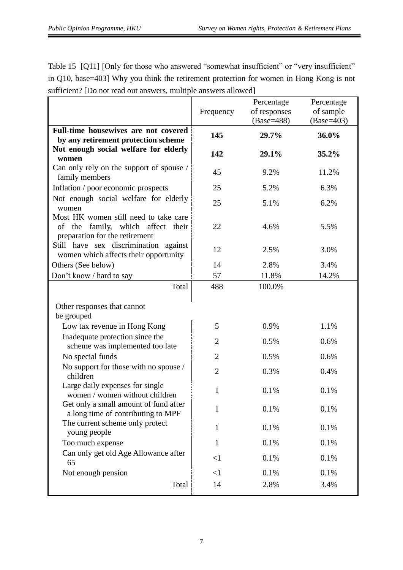Table 15 [Q11] [Only for those who answered "somewhat insufficient" or "very insufficient" in Q10, base=403] Why you think the retirement protection for women in Hong Kong is not sufficient? [Do not read out answers, multiple answers allowed]

|                                                                                                                                                                                                     | Frequency      | Percentage<br>of responses<br>(Base=488) | Percentage<br>of sample<br>$(Base=403)$ |
|-----------------------------------------------------------------------------------------------------------------------------------------------------------------------------------------------------|----------------|------------------------------------------|-----------------------------------------|
| Full-time housewives are not covered<br>by any retirement protection scheme                                                                                                                         | 145            | 29.7%                                    | 36.0%                                   |
| Not enough social welfare for elderly<br>women                                                                                                                                                      | 142            | 29.1%                                    | $35.2\%$                                |
| Can only rely on the support of spouse /<br>family members                                                                                                                                          | 45             | 9.2%                                     | 11.2%                                   |
| Inflation / poor economic prospects                                                                                                                                                                 | 25             | 5.2%                                     | 6.3%                                    |
| Not enough social welfare for elderly<br>women                                                                                                                                                      | 25             | 5.1%                                     | 6.2%                                    |
| Most HK women still need to take care<br>family, which affect their<br>of the<br>preparation for the retirement                                                                                     | 22             | 4.6%                                     | 5.5%                                    |
| Still have sex discrimination against<br>women which affects their opportunity                                                                                                                      | 12             | 2.5%                                     | 3.0%                                    |
| Others (See below)                                                                                                                                                                                  | 14             | 2.8%                                     | 3.4%                                    |
| Don't know / hard to say                                                                                                                                                                            | 57             | 11.8%                                    | 14.2%                                   |
| Total                                                                                                                                                                                               | 488            | 100.0%                                   |                                         |
| Other responses that cannot<br>be grouped                                                                                                                                                           |                |                                          |                                         |
| Low tax revenue in Hong Kong                                                                                                                                                                        | 5              | 0.9%                                     | 1.1%                                    |
| Inadequate protection since the<br>scheme was implemented too late                                                                                                                                  | $\overline{2}$ | 0.5%                                     | 0.6%                                    |
| No special funds                                                                                                                                                                                    | $\overline{2}$ | 0.5%                                     | 0.6%                                    |
| No support for those with no spouse /<br>children                                                                                                                                                   | $\overline{2}$ | 0.3%                                     | 0.4%                                    |
| Large daily expenses for single<br>women / women without children<br>Get only a small amount of fund after<br>a long time of contributing to MPF<br>The current scheme only protect<br>young people | $\mathbf{1}$   | 0.1%                                     | 0.1%                                    |
|                                                                                                                                                                                                     | 1              | 0.1%                                     | 0.1%                                    |
|                                                                                                                                                                                                     | 1              | 0.1%                                     | 0.1%                                    |
| Too much expense                                                                                                                                                                                    | $\mathbf{1}$   | 0.1%                                     | 0.1%                                    |
| Can only get old Age Allowance after<br>65                                                                                                                                                          | $\leq$ 1       | 0.1%                                     | 0.1%                                    |
| Not enough pension                                                                                                                                                                                  | $\leq$ 1       | 0.1%                                     | 0.1%                                    |
| Total                                                                                                                                                                                               | 14             | 2.8%                                     | 3.4%                                    |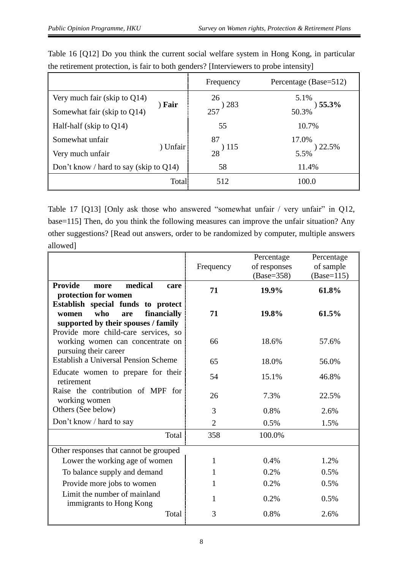|                                           |              | Frequency   | Percentage (Base=512) |
|-------------------------------------------|--------------|-------------|-----------------------|
| Very much fair (skip to $Q14$ )           |              | 26          | 5.1%                  |
| Somewhat fair (skip to Q14)               | ) Fair       | 283<br>257  | 55.3%<br>50.3%        |
| Half-half (skip to $Q14$ )                |              | 55          | 10.7%                 |
| Somewhat unfair                           |              | 87          | 17.0%                 |
| Very much unfair                          | ) Unfair     | ) 115<br>28 | $22.5\%$<br>5.5%      |
| Don't know / hard to say (skip to $Q14$ ) |              | 58          | 11.4%                 |
|                                           | <b>Total</b> | 512         | 100.0                 |

Table 16 [Q12] Do you think the current social welfare system in Hong Kong, in particular the retirement protection, is fair to both genders? [Interviewers to probe intensity]

Table 17 [Q13] [Only ask those who answered "somewhat unfair / very unfair" in Q12, base=115] Then, do you think the following measures can improve the unfair situation? Any other suggestions? [Read out answers, order to be randomized by computer, multiple answers allowed]

|                                                                                                                 | Frequency      | Percentage<br>of responses<br>$(Base=358)$ | Percentage<br>of sample<br>$(Base=115)$ |
|-----------------------------------------------------------------------------------------------------------------|----------------|--------------------------------------------|-----------------------------------------|
| <b>Provide</b><br>medical<br>more<br>care<br>protection for women                                               | 71             | 19.9%                                      | 61.8%                                   |
| Establish special funds to protect<br>who<br>financially<br>women<br>are<br>supported by their spouses / family | 71             | 19.8%                                      | 61.5%                                   |
| Provide more child-care services, so<br>working women can concentrate on<br>pursuing their career               | 66             | 18.6%                                      | 57.6%                                   |
| Establish a Universal Pension Scheme                                                                            | 65             | 18.0%                                      | 56.0%                                   |
| Educate women to prepare for their<br>retirement                                                                | 54             | 15.1%                                      | 46.8%                                   |
| Raise the contribution of MPF for<br>working women                                                              | 26             | 7.3%                                       | 22.5%                                   |
| Others (See below)                                                                                              | 3              | 0.8%                                       | 2.6%                                    |
| Don't know / hard to say                                                                                        | $\overline{2}$ | 0.5%                                       | 1.5%                                    |
| Total                                                                                                           | 358            | 100.0%                                     |                                         |
| Other responses that cannot be grouped                                                                          |                |                                            |                                         |
| Lower the working age of women                                                                                  | 1              | 0.4%                                       | 1.2%                                    |
| To balance supply and demand                                                                                    | 1              | 0.2%                                       | 0.5%                                    |
| Provide more jobs to women                                                                                      | 1              | 0.2%                                       | 0.5%                                    |
| Limit the number of mainland<br>immigrants to Hong Kong                                                         | 1              | 0.2%                                       | 0.5%                                    |
| Total                                                                                                           | 3              | 0.8%                                       | 2.6%                                    |